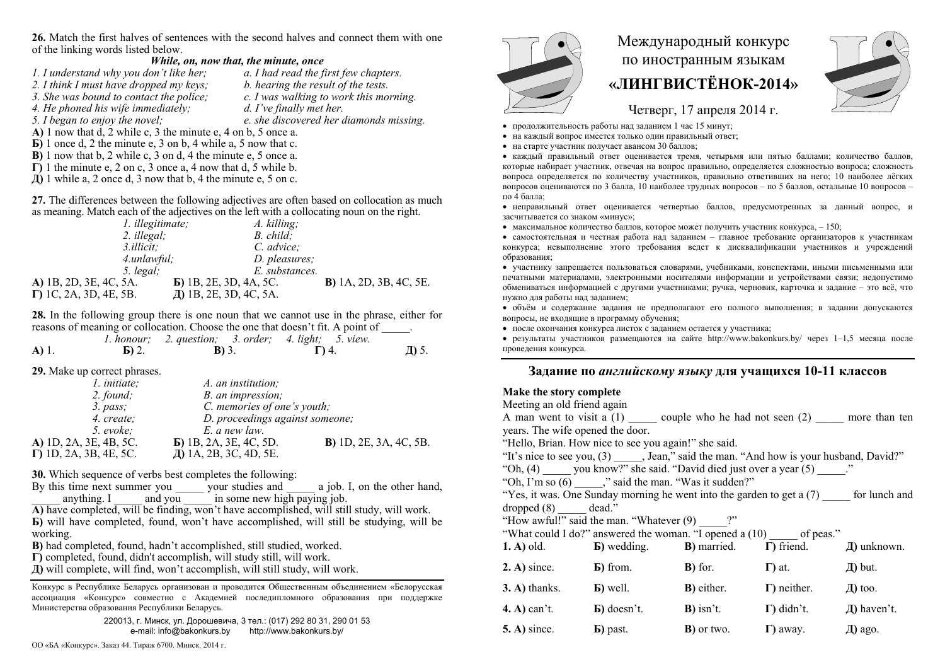**26.** Match the first halves of sentences with the second halves and connect them with one of the linking words listed below.

## *While, on, now that, the minute, once*

- *1. I understand why you don't like her; a. I had read the first few chapters. 2. I think I must have dropped my keys;*
- *3. She was bound to contact the police; c. I was walking to work this morning.*
- 
- 
- 
- *4. He phoned his wife immediately; d. I've finally met her.*
- *5. I began to enjoy the novel; e. she discovered her diamonds missing.*
- **А)** 1 now that d, 2 while c, 3 the minute e, 4 on b, 5 once a. **Б)** 1 once d, 2 the minute e, 3 on b, 4 while a, 5 now that c.
- **В)** 1 now that b, 2 while c, 3 on d, 4 the minute e, 5 once a.
- $\Gamma$ ) 1 the minute e, 2 on c, 3 once a, 4 now that d, 5 while b.
- $\overline{A}$ ) 1 while a, 2 once d, 3 now that b, 4 the minute e, 5 on c.

**27.** The differences between the following adjectives are often based on collocation as much as meaning. Match each of the adjectives on the left with a collocating noun on the right.

| 1. illegitimate;               | A. killing;                    |                                |
|--------------------------------|--------------------------------|--------------------------------|
| 2. illegal;                    | B. child:                      |                                |
| 3. <i>illicit</i> :            | C. advice:                     |                                |
| 4.unlawful;                    | D. pleasures;                  |                                |
| 5. $legal$                     | E. substances.                 |                                |
| A) 1B, 2D, 3E, 4C, 5A.         | <b>b</b> ) 1B, 2E, 3D, 4A, 5C. | <b>B</b> ) 1A, 2D, 3B, 4C, 5E. |
| $\Gamma$ ) 1C, 2A, 3D, 4E, 5B. | Д) 1В, 2Е, 3D, 4С, 5А.         |                                |

**28.** In the following group there is one noun that we cannot use in the phrase, either for reasons of meaning or collocation. Choose the one that doesn't fit. A point of

|         |                   | 1. honour; 2. question; 3. order; 4. light; 5. view. |             |       |
|---------|-------------------|------------------------------------------------------|-------------|-------|
| $A)$ 1. | $\mathbf{E}$ ) 2. | <b>B</b> ) 3.                                        | $\Gamma$ 4. | Д) 5. |

**29.** Make up correct phrases.

| A. an institution;              |                                |
|---------------------------------|--------------------------------|
| B. an impression;               |                                |
| C. memories of one's youth;     |                                |
| D. proceedings against someone; |                                |
| E. a new law.                   |                                |
| $\bf{E}$ ) 1B, 2A, 3E, 4C, 5D.  | <b>B</b> ) 1D, 2E, 3A, 4C, 5B. |
| Д) 1А, 2В, 3С, 4D, 5Е.          |                                |
|                                 |                                |

**30.** Which sequence of verbs best completes the following:

By this time next summer you \_\_\_\_\_\_\_ your studies and  $\sim$  a job. I, on the other hand, anything. I and you in some new high paying job.

**А)** have completed, will be finding, won't have accomplished, will still study, will work.

**Б**) will have completed, found, won't have accomplished, will still be studying, will be working.

**В)** had completed, found, hadn't accomplished, still studied, worked.

**Г)** completed, found, didn't accomplish, will study still, will work.

**Д)** will complete, will find, won't accomplish, will still study, will work.

Конкурс <sup>в</sup> Республике Беларусь организован <sup>и</sup> проводится Общественным объединением «Белорусская ассоциация «Конкурс» совместно <sup>с</sup> Академией последипломного образования при поддержке Министерства образования Республики Беларусь.

> 220013, <sup>г</sup>. Минск, ул. Дорошевича, 3 тел.: (017) 292 80 31, 290 01 53 e-mail: info@bakonkurs.by http://www.bakonkurs.by/



## Международный конкурс по иностранным языкам **«ЛИНГВИСТЁНОК-2014»**



Четверг, 17 апреля 2014 г.

- продолжительность работы над заданием 1 час 15 минут;
- на каждый вопрос имеется только один правильный ответ;
- на старте участник получает авансом 30 баллов;

 каждый правильный ответ оценивается тремя, четырьмя или пятью баллами; количество баллов, которые набирает участник, отвечая на вопрос правильно, определяется сложностью вопроса; сложность вопроса определяется по количеству участников, правильно ответивших на него; 10 наиболее лёгких вопросов оцениваются по 3 балла, 10 наиболее трудных вопросов – по 5 баллов, остальные 10 вопросов – по 4 балла;

 неправильный ответ оценивается четвертью баллов, предусмотренных за данный вопрос, <sup>и</sup> засчитывается со знаком «минус»;

• максимальное количество баллов, которое может получить участник конкурса,  $-150$ ;

 самостоятельная и честная работа над заданием – главное требование организаторов <sup>к</sup> участникам конкурса; невыполнение этого требования ведет <sup>к</sup> дисквалификации участников <sup>и</sup> учреждений образования;

 участнику запрещается пользоваться словарями, учебниками, конспектами, иными письменными или печатными материалами, электронными носителями информации <sup>и</sup> устройствами связи; недопустимо обмениваться информацией <sup>с</sup> другими участниками; ручка, черновик, карточка <sup>и</sup> задание – это всё, что нужно для работы над заданием;

 объём <sup>и</sup> содержание задания не предполагают его полного выполнения; <sup>в</sup> задании допускаются вопросы, не входящие <sup>в</sup> программу обучения;

после окончания конкурса листок с заданием остается у участника;

 результаты участников размещаются на сайте http://www.bakonkurs.by/ через 1–1,5 месяца после проведения конкурса.

## **Задание по** *английскому языку* **для учащихся 10-11 классов**

## **Make the story complete**

| Meeting an old friend again      |                                                                                          |                     |                     |                  |  |
|----------------------------------|------------------------------------------------------------------------------------------|---------------------|---------------------|------------------|--|
|                                  | A man went to visit a $(1)$ couple who he had not seen $(2)$ more than ten               |                     |                     |                  |  |
| years. The wife opened the door. |                                                                                          |                     |                     |                  |  |
|                                  | "Hello, Brian. How nice to see you again!" she said.                                     |                     |                     |                  |  |
|                                  | "It's nice to see you, (3) _____, Jean," said the man. "And how is your husband, David?" |                     |                     |                  |  |
|                                  | "Oh, $(4)$ you know?" she said. "David died just over a year $(5)$ ."                    |                     |                     |                  |  |
|                                  | "Oh, I'm so $(6)$ , "said the man. "Was it sudden?"                                      |                     |                     |                  |  |
|                                  | "Yes, it was. One Sunday morning he went into the garden to get $a(7)$ for lunch and     |                     |                     |                  |  |
| $dropped (8)$ $dead."$           |                                                                                          |                     |                     |                  |  |
|                                  | "How awful!" said the man. "Whatever $(9)$ ?"                                            |                     |                     |                  |  |
|                                  | "What could I do?" answered the woman. "I opened a (10) of peas."                        |                     |                     |                  |  |
|                                  | <b>1.</b> A) old. <b>b</b> ) wedding. <b>B</b> ) married. $\Gamma$ ) friend.             |                     |                     | Д) unknown.      |  |
| $2. A)$ since.                   | <b>B</b> ) from.                                                                         | $\mathbf{B}$ ) for. | $\Gamma$ ) at.      | $\pi$ ) but.     |  |
| $3. A)$ thanks.                  | <b>b</b> ) well.                                                                         | <b>B</b> ) either.  | $\Gamma$ ) neither. | $\pi$ too.       |  |
| $(4. A)$ can't.                  | $\mathbf{E}$ ) doesn't.                                                                  | $\bf{B})$ isn't.    | $\Gamma$ ) didn't.  | $\pi$ ) haven't. |  |
| $5. A)$ since.                   | <b>b</b> ) past.                                                                         | <b>B</b> ) or two.  | I) away.            | Д) ago.          |  |